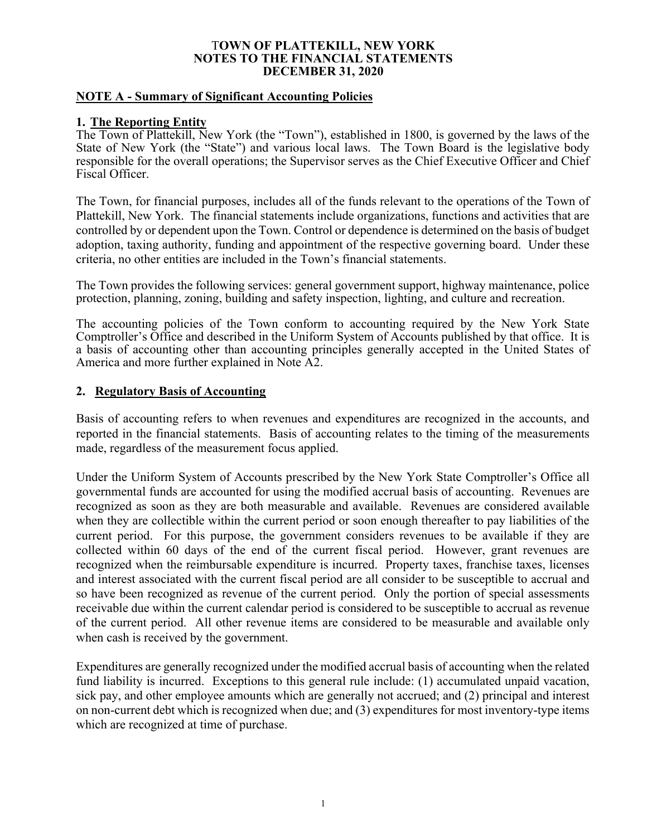### **NOTE A - Summary of Significant Accounting Policies**

### **1. The Reporting Entity**

The Town of Plattekill, New York (the "Town"), established in 1800, is governed by the laws of the State of New York (the "State") and various local laws. The Town Board is the legislative body responsible for the overall operations; the Supervisor serves as the Chief Executive Officer and Chief Fiscal Officer.

The Town, for financial purposes, includes all of the funds relevant to the operations of the Town of Plattekill, New York. The financial statements include organizations, functions and activities that are controlled by or dependent upon the Town. Control or dependence is determined on the basis of budget adoption, taxing authority, funding and appointment of the respective governing board. Under these criteria, no other entities are included in the Town's financial statements.

The Town provides the following services: general government support, highway maintenance, police protection, planning, zoning, building and safety inspection, lighting, and culture and recreation.

The accounting policies of the Town conform to accounting required by the New York State Comptroller's Office and described in the Uniform System of Accounts published by that office. It is a basis of accounting other than accounting principles generally accepted in the United States of America and more further explained in Note A2.

### **2. Regulatory Basis of Accounting**

Basis of accounting refers to when revenues and expenditures are recognized in the accounts, and reported in the financial statements. Basis of accounting relates to the timing of the measurements made, regardless of the measurement focus applied.

Under the Uniform System of Accounts prescribed by the New York State Comptroller's Office all governmental funds are accounted for using the modified accrual basis of accounting. Revenues are recognized as soon as they are both measurable and available. Revenues are considered available when they are collectible within the current period or soon enough thereafter to pay liabilities of the current period. For this purpose, the government considers revenues to be available if they are collected within 60 days of the end of the current fiscal period. However, grant revenues are recognized when the reimbursable expenditure is incurred. Property taxes, franchise taxes, licenses and interest associated with the current fiscal period are all consider to be susceptible to accrual and so have been recognized as revenue of the current period. Only the portion of special assessments receivable due within the current calendar period is considered to be susceptible to accrual as revenue of the current period. All other revenue items are considered to be measurable and available only when cash is received by the government.

Expenditures are generally recognized under the modified accrual basis of accounting when the related fund liability is incurred. Exceptions to this general rule include: (1) accumulated unpaid vacation, sick pay, and other employee amounts which are generally not accrued; and (2) principal and interest on non-current debt which is recognized when due; and (3) expenditures for most inventory-type items which are recognized at time of purchase.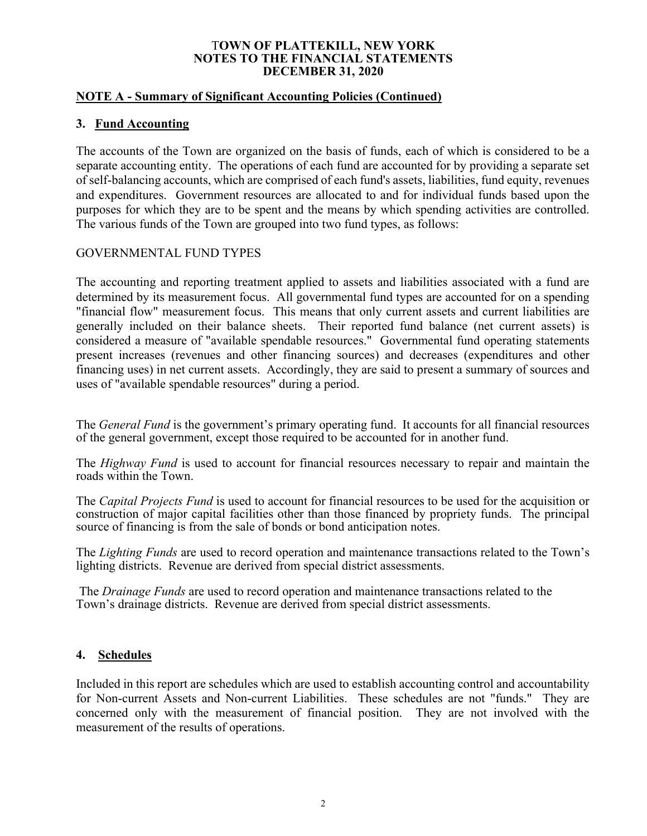## **NOTE A - Summary of Significant Accounting Policies (Continued)**

# **3. Fund Accounting**

The accounts of the Town are organized on the basis of funds, each of which is considered to be a separate accounting entity. The operations of each fund are accounted for by providing a separate set of self-balancing accounts, which are comprised of each fund's assets, liabilities, fund equity, revenues and expenditures. Government resources are allocated to and for individual funds based upon the purposes for which they are to be spent and the means by which spending activities are controlled. The various funds of the Town are grouped into two fund types, as follows:

# GOVERNMENTAL FUND TYPES

The accounting and reporting treatment applied to assets and liabilities associated with a fund are determined by its measurement focus. All governmental fund types are accounted for on a spending "financial flow" measurement focus. This means that only current assets and current liabilities are generally included on their balance sheets. Their reported fund balance (net current assets) is considered a measure of "available spendable resources." Governmental fund operating statements present increases (revenues and other financing sources) and decreases (expenditures and other financing uses) in net current assets. Accordingly, they are said to present a summary of sources and uses of "available spendable resources" during a period.

The *General Fund* is the government's primary operating fund. It accounts for all financial resources of the general government, except those required to be accounted for in another fund.

The *Highway Fund* is used to account for financial resources necessary to repair and maintain the roads within the Town.

The *Capital Projects Fund* is used to account for financial resources to be used for the acquisition or construction of major capital facilities other than those financed by propriety funds. The principal source of financing is from the sale of bonds or bond anticipation notes.

The *Lighting Funds* are used to record operation and maintenance transactions related to the Town's lighting districts. Revenue are derived from special district assessments.

 The *Drainage Funds* are used to record operation and maintenance transactions related to the Town's drainage districts. Revenue are derived from special district assessments.

# **4. Schedules**

Included in this report are schedules which are used to establish accounting control and accountability for Non-current Assets and Non-current Liabilities. These schedules are not "funds." They are concerned only with the measurement of financial position. They are not involved with the measurement of the results of operations.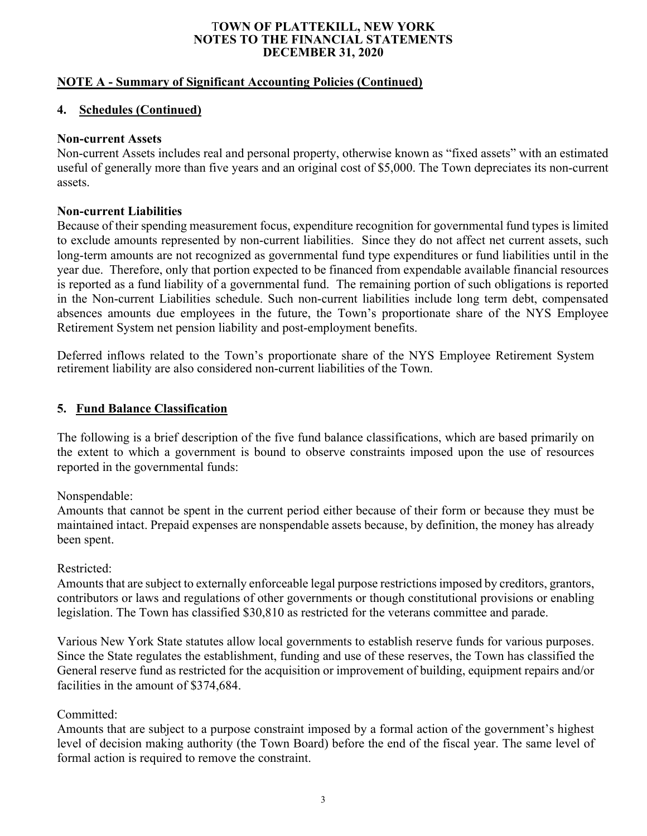# **NOTE A - Summary of Significant Accounting Policies (Continued)**

# **4. Schedules (Continued)**

### **Non-current Assets**

Non-current Assets includes real and personal property, otherwise known as "fixed assets" with an estimated useful of generally more than five years and an original cost of \$5,000. The Town depreciates its non-current assets.

### **Non-current Liabilities**

Because of their spending measurement focus, expenditure recognition for governmental fund types is limited to exclude amounts represented by non-current liabilities. Since they do not affect net current assets, such long-term amounts are not recognized as governmental fund type expenditures or fund liabilities until in the year due. Therefore, only that portion expected to be financed from expendable available financial resources is reported as a fund liability of a governmental fund. The remaining portion of such obligations is reported in the Non-current Liabilities schedule. Such non-current liabilities include long term debt, compensated absences amounts due employees in the future, the Town's proportionate share of the NYS Employee Retirement System net pension liability and post-employment benefits.

Deferred inflows related to the Town's proportionate share of the NYS Employee Retirement System retirement liability are also considered non-current liabilities of the Town.

# **5. Fund Balance Classification**

The following is a brief description of the five fund balance classifications, which are based primarily on the extent to which a government is bound to observe constraints imposed upon the use of resources reported in the governmental funds:

Nonspendable:

Amounts that cannot be spent in the current period either because of their form or because they must be maintained intact. Prepaid expenses are nonspendable assets because, by definition, the money has already been spent.

### Restricted:

Amounts that are subject to externally enforceable legal purpose restrictions imposed by creditors, grantors, contributors or laws and regulations of other governments or though constitutional provisions or enabling legislation. The Town has classified \$30,810 as restricted for the veterans committee and parade.

Various New York State statutes allow local governments to establish reserve funds for various purposes. Since the State regulates the establishment, funding and use of these reserves, the Town has classified the General reserve fund as restricted for the acquisition or improvement of building, equipment repairs and/or facilities in the amount of \$374,684.

# Committed:

Amounts that are subject to a purpose constraint imposed by a formal action of the government's highest level of decision making authority (the Town Board) before the end of the fiscal year. The same level of formal action is required to remove the constraint.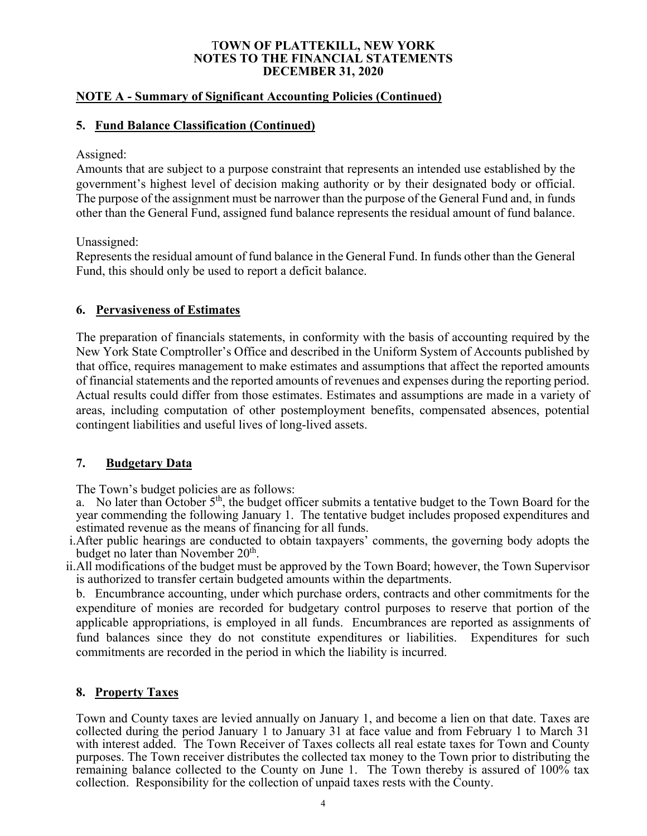# **NOTE A - Summary of Significant Accounting Policies (Continued)**

# **5. Fund Balance Classification (Continued)**

## Assigned:

Amounts that are subject to a purpose constraint that represents an intended use established by the government's highest level of decision making authority or by their designated body or official. The purpose of the assignment must be narrower than the purpose of the General Fund and, in funds other than the General Fund, assigned fund balance represents the residual amount of fund balance.

Unassigned:

Represents the residual amount of fund balance in the General Fund. In funds other than the General Fund, this should only be used to report a deficit balance.

# **6. Pervasiveness of Estimates**

The preparation of financials statements, in conformity with the basis of accounting required by the New York State Comptroller's Office and described in the Uniform System of Accounts published by that office, requires management to make estimates and assumptions that affect the reported amounts of financial statements and the reported amounts of revenues and expenses during the reporting period. Actual results could differ from those estimates. Estimates and assumptions are made in a variety of areas, including computation of other postemployment benefits, compensated absences, potential contingent liabilities and useful lives of long-lived assets.

### **7. Budgetary Data**

The Town's budget policies are as follows:

a. No later than October  $5<sup>th</sup>$ , the budget officer submits a tentative budget to the Town Board for the year commending the following January 1. The tentative budget includes proposed expenditures and estimated revenue as the means of financing for all funds.

- i.After public hearings are conducted to obtain taxpayers' comments, the governing body adopts the budget no later than November  $20<sup>th</sup>$ .
- ii.All modifications of the budget must be approved by the Town Board; however, the Town Supervisor is authorized to transfer certain budgeted amounts within the departments.

b. Encumbrance accounting, under which purchase orders, contracts and other commitments for the expenditure of monies are recorded for budgetary control purposes to reserve that portion of the applicable appropriations, is employed in all funds. Encumbrances are reported as assignments of fund balances since they do not constitute expenditures or liabilities. Expenditures for such commitments are recorded in the period in which the liability is incurred.

# **8. Property Taxes**

Town and County taxes are levied annually on January 1, and become a lien on that date. Taxes are collected during the period January 1 to January 31 at face value and from February 1 to March 31 with interest added. The Town Receiver of Taxes collects all real estate taxes for Town and County purposes. The Town receiver distributes the collected tax money to the Town prior to distributing the remaining balance collected to the County on June 1. The Town thereby is assured of 100% tax collection. Responsibility for the collection of unpaid taxes rests with the County.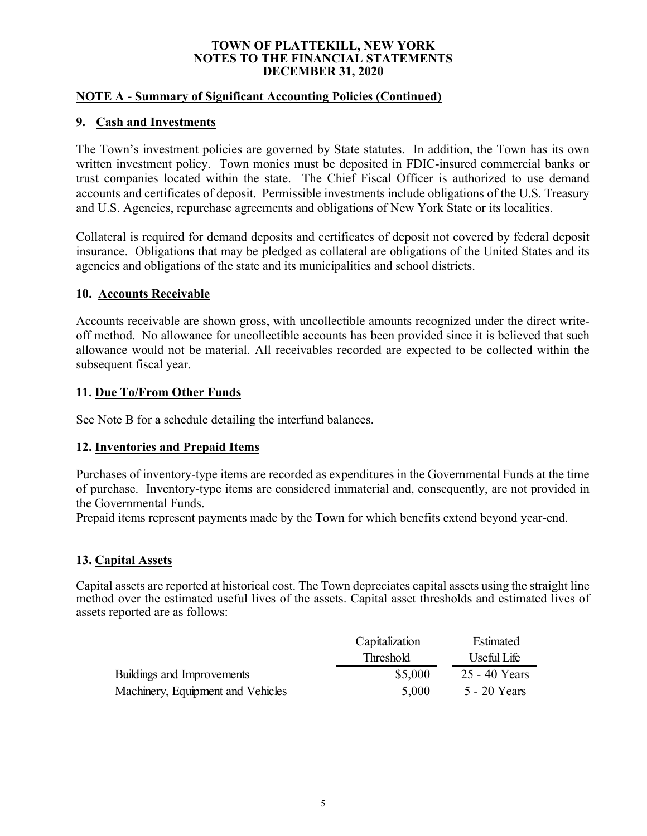# **NOTE A - Summary of Significant Accounting Policies (Continued)**

# **9. Cash and Investments**

The Town's investment policies are governed by State statutes. In addition, the Town has its own written investment policy. Town monies must be deposited in FDIC-insured commercial banks or trust companies located within the state. The Chief Fiscal Officer is authorized to use demand accounts and certificates of deposit. Permissible investments include obligations of the U.S. Treasury and U.S. Agencies, repurchase agreements and obligations of New York State or its localities.

Collateral is required for demand deposits and certificates of deposit not covered by federal deposit insurance. Obligations that may be pledged as collateral are obligations of the United States and its agencies and obligations of the state and its municipalities and school districts.

# **10. Accounts Receivable**

Accounts receivable are shown gross, with uncollectible amounts recognized under the direct writeoff method. No allowance for uncollectible accounts has been provided since it is believed that such allowance would not be material. All receivables recorded are expected to be collected within the subsequent fiscal year.

# **11. Due To/From Other Funds**

See Note B for a schedule detailing the interfund balances.

# **12. Inventories and Prepaid Items**

Purchases of inventory-type items are recorded as expenditures in the Governmental Funds at the time of purchase. Inventory-type items are considered immaterial and, consequently, are not provided in the Governmental Funds.

Prepaid items represent payments made by the Town for which benefits extend beyond year-end.

# **13. Capital Assets**

Capital assets are reported at historical cost. The Town depreciates capital assets using the straight line method over the estimated useful lives of the assets. Capital asset thresholds and estimated lives of assets reported are as follows:

|                                   | Capitalization   | Estimated      |
|-----------------------------------|------------------|----------------|
|                                   | <b>Threshold</b> | Useful Life    |
| Buildings and Improvements        | \$5,000          | 25 - 40 Years  |
| Machinery, Equipment and Vehicles | 5,000            | $5 - 20$ Years |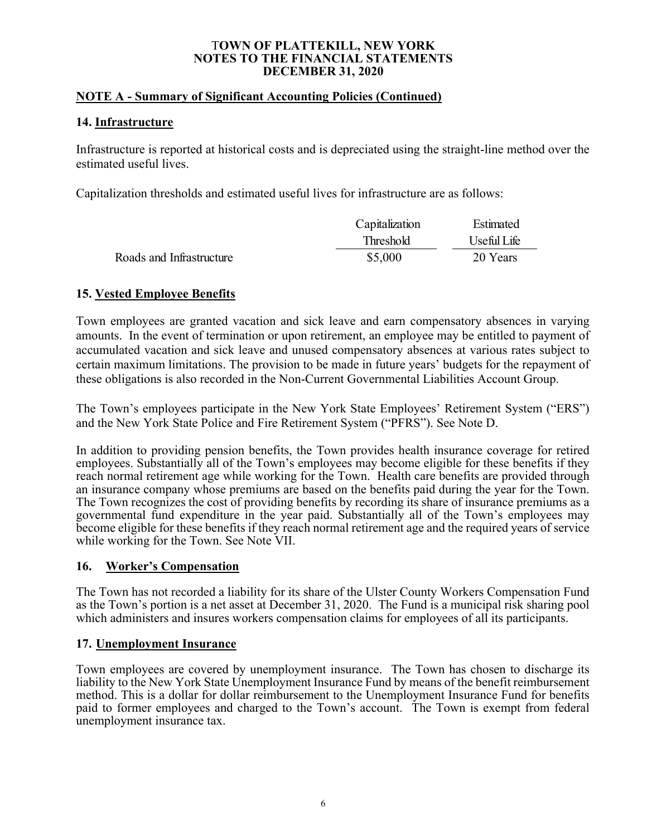# **NOTE A - Summary of Significant Accounting Policies (Continued)**

## **14. Infrastructure**

Infrastructure is reported at historical costs and is depreciated using the straight-line method over the estimated useful lives.

Capitalization thresholds and estimated useful lives for infrastructure are as follows:

|                          | Capitalization | Estimated   |
|--------------------------|----------------|-------------|
|                          | Threshold      | Useful Life |
| Roads and Infrastructure | \$5,000        | 20 Years    |

# **15. Vested Employee Benefits**

Town employees are granted vacation and sick leave and earn compensatory absences in varying amounts. In the event of termination or upon retirement, an employee may be entitled to payment of accumulated vacation and sick leave and unused compensatory absences at various rates subject to certain maximum limitations. The provision to be made in future years' budgets for the repayment of these obligations is also recorded in the Non-Current Governmental Liabilities Account Group.

The Town's employees participate in the New York State Employees' Retirement System ("ERS") and the New York State Police and Fire Retirement System ("PFRS"). See Note D.

In addition to providing pension benefits, the Town provides health insurance coverage for retired employees. Substantially all of the Town's employees may become eligible for these benefits if they reach normal retirement age while working for the Town. Health care benefits are provided through an insurance company whose premiums are based on the benefits paid during the year for the Town. The Town recognizes the cost of providing benefits by recording its share of insurance premiums as a governmental fund expenditure in the year paid. Substantially all of the Town's employees may become eligible for these benefits if they reach normal retirement age and the required years of service while working for the Town. See Note VII.

# **16. Worker's Compensation**

The Town has not recorded a liability for its share of the Ulster County Workers Compensation Fund as the Town's portion is a net asset at December 31, 2020. The Fund is a municipal risk sharing pool which administers and insures workers compensation claims for employees of all its participants.

# **17. Unemployment Insurance**

Town employees are covered by unemployment insurance. The Town has chosen to discharge its liability to the New York State Unemployment Insurance Fund by means of the benefit reimbursement method. This is a dollar for dollar reimbursement to the Unemployment Insurance Fund for benefits paid to former employees and charged to the Town's account. The Town is exempt from federal unemployment insurance tax.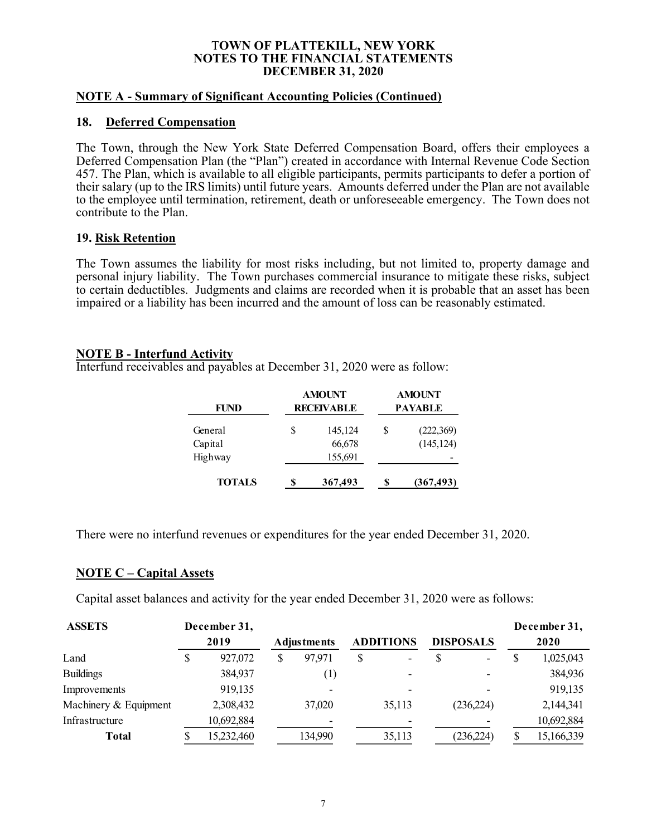#### **NOTE A - Summary of Significant Accounting Policies (Continued)**

#### **18. Deferred Compensation**

The Town, through the New York State Deferred Compensation Board, offers their employees a Deferred Compensation Plan (the "Plan") created in accordance with Internal Revenue Code Section 457. The Plan, which is available to all eligible participants, permits participants to defer a portion of their salary (up to the IRS limits) until future years. Amounts deferred under the Plan are not available to the employee until termination, retirement, death or unforeseeable emergency. The Town does not contribute to the Plan.

### **19. Risk Retention**

The Town assumes the liability for most risks including, but not limited to, property damage and personal injury liability. The Town purchases commercial insurance to mitigate these risks, subject to certain deductibles. Judgments and claims are recorded when it is probable that an asset has been impaired or a liability has been incurred and the amount of loss can be reasonably estimated.

### **NOTE B - Interfund Activity**

Interfund receivables and payables at December 31, 2020 were as follow:

| FUND          | <b>AMOUNT</b><br><b>RECEIVABLE</b> |         |    | <b>AMOUNT</b><br><b>PAYABLE</b> |
|---------------|------------------------------------|---------|----|---------------------------------|
| General       | \$                                 | 145,124 | \$ | (222,369)                       |
| Capital       |                                    | 66,678  |    | (145, 124)                      |
| Highway       |                                    | 155,691 |    |                                 |
| <b>TOTALS</b> | S                                  | 367,493 | S  | (367, 493)                      |

There were no interfund revenues or expenditures for the year ended December 31, 2020.

### **NOTE C – Capital Assets**

Capital asset balances and activity for the year ended December 31, 2020 were as follows:

| <b>ASSETS</b>         | December 31, |                    |                  |                  |   | December 31, |
|-----------------------|--------------|--------------------|------------------|------------------|---|--------------|
|                       | 2019         | <b>Adjustments</b> | <b>ADDITIONS</b> | <b>DISPOSALS</b> |   | 2020         |
| Land                  | 927,072      | 97,971             | \$<br>-          | -                | S | 1,025,043    |
| <b>Buildings</b>      | 384,937      | $\left( 1\right)$  |                  |                  |   | 384,936      |
| Improvements          | 919,135      |                    |                  |                  |   | 919,135      |
| Machinery & Equipment | 2,308,432    | 37,020             | 35,113           | (236, 224)       |   | 2,144,341    |
| Infrastructure        | 10,692,884   |                    |                  |                  |   | 10,692,884   |
| <b>Total</b>          | 15,232,460   | 134,990            | 35,113           | (236,224)        |   | 15,166,339   |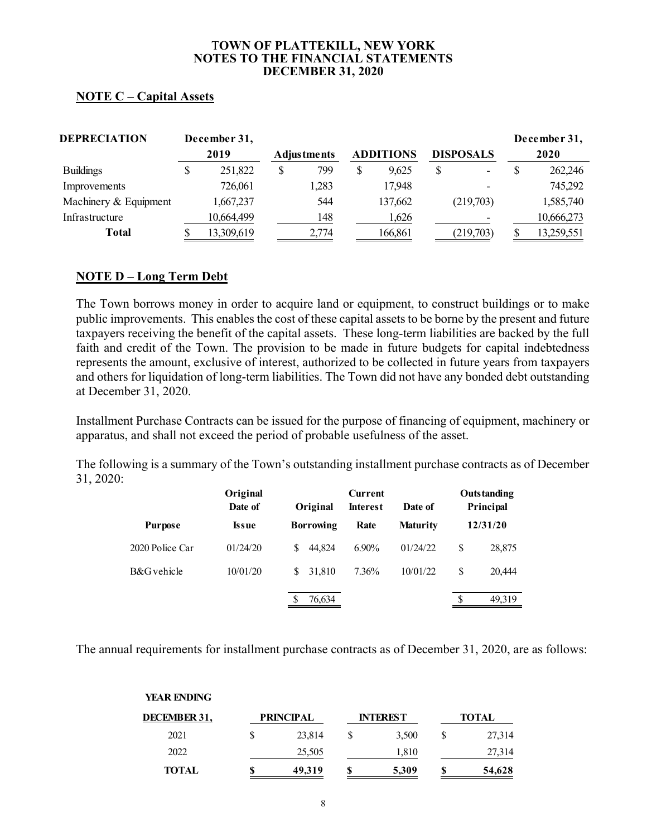# **NOTE C – Capital Assets**

| <b>DEPRECIATION</b>   | December 31, |                    |                  |                  | December 31, |
|-----------------------|--------------|--------------------|------------------|------------------|--------------|
|                       | 2019         | <b>Adjustments</b> | <b>ADDITIONS</b> | <b>DISPOSALS</b> | 2020         |
| <b>Buildings</b>      | 251,822      | 799                | \$<br>9,625      |                  | 262,246      |
| Improvements          | 726,061      | 1,283              | 17,948           | ۰                | 745,292      |
| Machinery & Equipment | 1,667,237    | 544                | 137,662          | (219,703)        | 1,585,740    |
| Infrastructure        | 10,664,499   | 148                | 1,626            |                  | 10,666,273   |
| Total                 | 13,309,619   | 2,774              | 166,861          | (219,703)        | 13,259,551   |

# **NOTE D – Long Term Debt**

The Town borrows money in order to acquire land or equipment, to construct buildings or to make public improvements. This enables the cost of these capital assets to be borne by the present and future taxpayers receiving the benefit of the capital assets. These long-term liabilities are backed by the full faith and credit of the Town. The provision to be made in future budgets for capital indebtedness represents the amount, exclusive of interest, authorized to be collected in future years from taxpayers and others for liquidation of long-term liabilities. The Town did not have any bonded debt outstanding at December 31, 2020.

Installment Purchase Contracts can be issued for the purpose of financing of equipment, machinery or apparatus, and shall not exceed the period of probable usefulness of the asset.

The following is a summary of the Town's outstanding installment purchase contracts as of December 31, 2020:

|                 | Original<br>Date of | Original         | <b>Current</b><br><b>Interest</b> | Date of         |   | <b>Outstanding</b><br>Principal |
|-----------------|---------------------|------------------|-----------------------------------|-----------------|---|---------------------------------|
| <b>Purpose</b>  | Issue               | <b>Borrowing</b> | Rate                              | <b>Maturity</b> |   | 12/31/20                        |
| 2020 Police Car | 01/24/20            | 44.824<br>\$.    | $6.90\%$                          | 01/24/22        | S | 28,875                          |
| B&G vehicle     | 10/01/20            | 31.810<br>S.     | 7.36%                             | 10/01/22        | S | 20,444                          |
|                 |                     | 76,634           |                                   |                 | S | 49.319                          |

The annual requirements for installment purchase contracts as of December 31, 2020, are as follows:

| <b>YEAR ENDING</b> |   |                  |    |                 |   |        |
|--------------------|---|------------------|----|-----------------|---|--------|
| DECEMBER 31,       |   | <b>PRINCIPAL</b> |    | <b>INTEREST</b> |   | TOTAL  |
| 2021               | S | 23,814           | \$ | 3,500           | S | 27,314 |
| 2022               |   | 25,505           |    | 1,810           |   | 27,314 |
| <b>TOTAL</b>       | S | 49,319           | S  | 5,309           | S | 54,628 |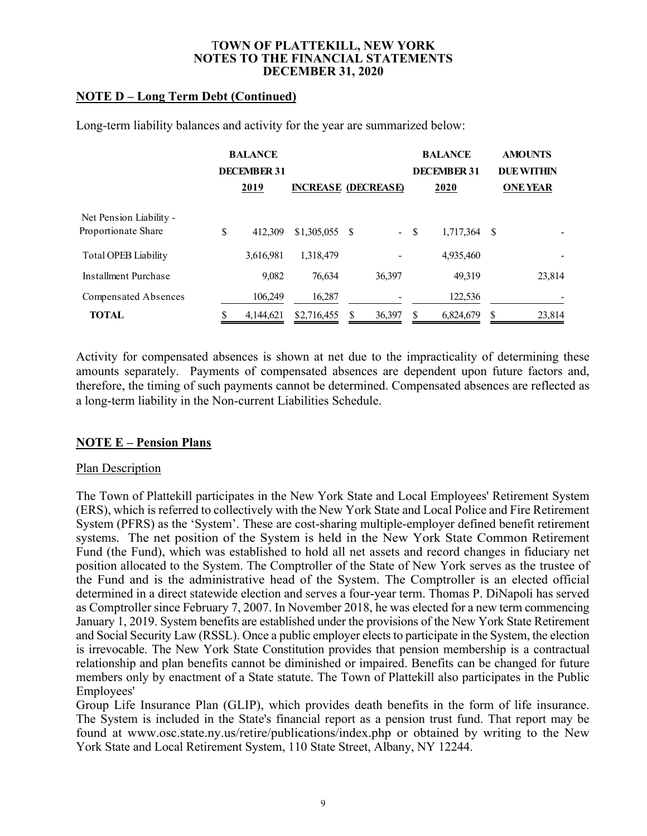# **NOTE D – Long Term Debt (Continued)**

Long-term liability balances and activity for the year are summarized below:

|                                                | <b>BALANCE</b><br><b>DECEMBER 31</b> |                            |              |      | <b>BALANCE</b><br><b>DECEMBER 31</b> |      | <b>AMOUNTS</b><br><b>DUE WITHIN</b> |
|------------------------------------------------|--------------------------------------|----------------------------|--------------|------|--------------------------------------|------|-------------------------------------|
|                                                | 2019                                 | <b>INCREASE (DECREASE)</b> |              |      | 2020                                 |      | <b>ONE YEAR</b>                     |
| Net Pension Liability -<br>Proportionate Share | \$<br>412,309                        |                            | $\sim$       | - \$ | 1,717,364                            | - \$ |                                     |
| <b>Total OPEB Liability</b>                    | 3,616,981                            | 1,318,479                  |              |      | 4,935,460                            |      |                                     |
| Installment Purchase                           | 9,082                                | 76.634                     | 36,397       |      | 49,319                               |      | 23,814                              |
| Compensated Absences                           | 106,249                              | 16,287                     |              |      | 122,536                              |      |                                     |
| <b>TOTAL</b>                                   | 4,144,621                            | \$2,716,455                | \$<br>36,397 | S    | 6,824,679                            | S    | 23,814                              |

Activity for compensated absences is shown at net due to the impracticality of determining these amounts separately. Payments of compensated absences are dependent upon future factors and, therefore, the timing of such payments cannot be determined. Compensated absences are reflected as a long-term liability in the Non-current Liabilities Schedule.

### **NOTE E – Pension Plans**

### Plan Description

The Town of Plattekill participates in the New York State and Local Employees' Retirement System (ERS), which is referred to collectively with the New York State and Local Police and Fire Retirement System (PFRS) as the 'System'. These are cost-sharing multiple-employer defined benefit retirement systems. The net position of the System is held in the New York State Common Retirement Fund (the Fund), which was established to hold all net assets and record changes in fiduciary net position allocated to the System. The Comptroller of the State of New York serves as the trustee of the Fund and is the administrative head of the System. The Comptroller is an elected official determined in a direct statewide election and serves a four-year term. Thomas P. DiNapoli has served as Comptroller since February 7, 2007. In November 2018, he was elected for a new term commencing January 1, 2019. System benefits are established under the provisions of the New York State Retirement and Social Security Law (RSSL). Once a public employer elects to participate in the System, the election is irrevocable. The New York State Constitution provides that pension membership is a contractual relationship and plan benefits cannot be diminished or impaired. Benefits can be changed for future members only by enactment of a State statute. The Town of Plattekill also participates in the Public Employees'

Group Life Insurance Plan (GLIP), which provides death benefits in the form of life insurance. The System is included in the State's financial report as a pension trust fund. That report may be found at www.osc.state.ny.us/retire/publications/index.php or obtained by writing to the New York State and Local Retirement System, 110 State Street, Albany, NY 12244.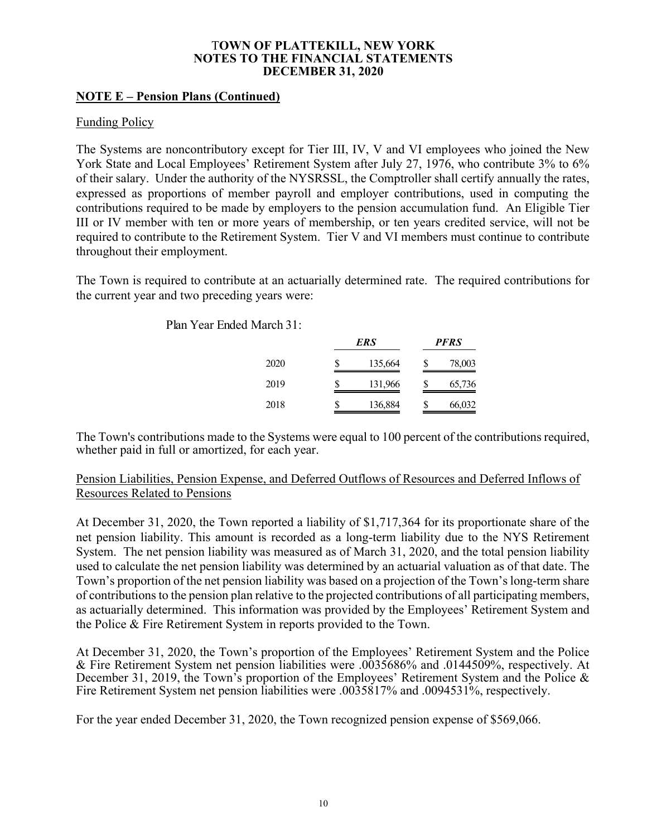# **NOTE E – Pension Plans (Continued)**

## Funding Policy

The Systems are noncontributory except for Tier III, IV, V and VI employees who joined the New York State and Local Employees' Retirement System after July 27, 1976, who contribute 3% to 6% of their salary. Under the authority of the NYSRSSL, the Comptroller shall certify annually the rates, expressed as proportions of member payroll and employer contributions, used in computing the contributions required to be made by employers to the pension accumulation fund. An Eligible Tier III or IV member with ten or more years of membership, or ten years credited service, will not be required to contribute to the Retirement System. Tier V and VI members must continue to contribute throughout their employment.

The Town is required to contribute at an actuarially determined rate. The required contributions for the current year and two preceding years were:

| Plan Year Ended March 31: |  |
|---------------------------|--|
|---------------------------|--|

|      |    | ERS     |   | <b>PFRS</b> |
|------|----|---------|---|-------------|
| 2020 | \$ | 135,664 | S | 78,003      |
| 2019 | S  | 131,966 | S | 65,736      |
| 2018 | \$ | 136,884 | S | 66,032      |

The Town's contributions made to the Systems were equal to 100 percent of the contributions required, whether paid in full or amortized, for each year.

# Pension Liabilities, Pension Expense, and Deferred Outflows of Resources and Deferred Inflows of Resources Related to Pensions

At December 31, 2020, the Town reported a liability of \$1,717,364 for its proportionate share of the net pension liability. This amount is recorded as a long-term liability due to the NYS Retirement System. The net pension liability was measured as of March 31, 2020, and the total pension liability used to calculate the net pension liability was determined by an actuarial valuation as of that date. The Town's proportion of the net pension liability was based on a projection of the Town's long-term share of contributions to the pension plan relative to the projected contributions of all participating members, as actuarially determined. This information was provided by the Employees' Retirement System and the Police & Fire Retirement System in reports provided to the Town.

At December 31, 2020, the Town's proportion of the Employees' Retirement System and the Police & Fire Retirement System net pension liabilities were .0035686% and .0144509%, respectively. At December 31, 2019, the Town's proportion of the Employees' Retirement System and the Police & Fire Retirement System net pension liabilities were .0035817% and .0094531%, respectively.

For the year ended December 31, 2020, the Town recognized pension expense of \$569,066.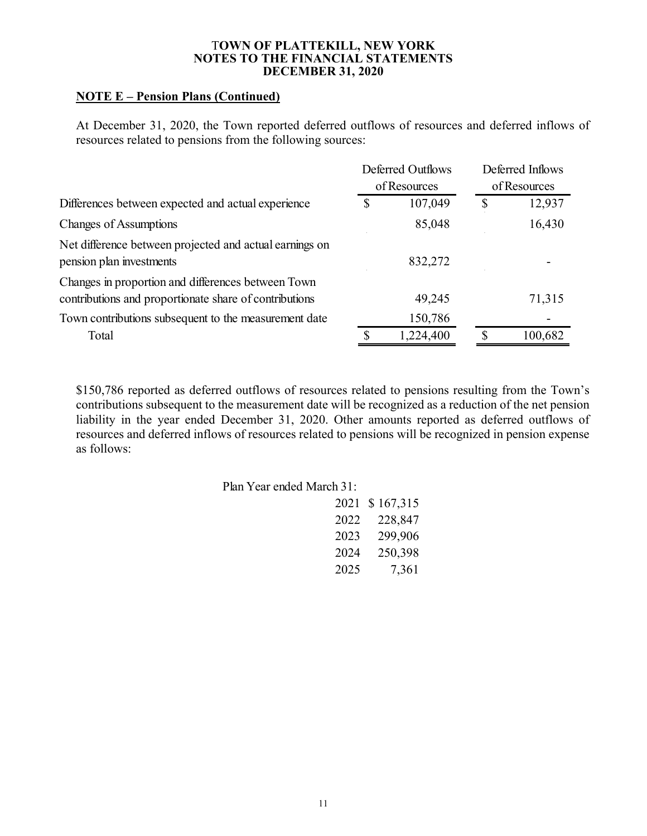# **NOTE E – Pension Plans (Continued)**

At December 31, 2020, the Town reported deferred outflows of resources and deferred inflows of resources related to pensions from the following sources:

|                                                                                                              |   | Deferred Outflows | Deferred Inflows |
|--------------------------------------------------------------------------------------------------------------|---|-------------------|------------------|
|                                                                                                              |   | of Resources      | of Resources     |
| Differences between expected and actual experience                                                           | S | 107,049           | \$<br>12,937     |
| <b>Changes of Assumptions</b>                                                                                |   | 85,048            | 16,430           |
| Net difference between projected and actual earnings on<br>pension plan investments                          |   | 832,272           |                  |
| Changes in proportion and differences between Town<br>contributions and proportionate share of contributions |   | 49,245            | 71,315           |
| Town contributions subsequent to the measurement date                                                        |   | 150,786           |                  |
| Total                                                                                                        |   | 1,224,400         | 100,682          |

\$150,786 reported as deferred outflows of resources related to pensions resulting from the Town's contributions subsequent to the measurement date will be recognized as a reduction of the net pension liability in the year ended December 31, 2020. Other amounts reported as deferred outflows of resources and deferred inflows of resources related to pensions will be recognized in pension expense as follows:

| Plan Year ended March 31: |      |                |
|---------------------------|------|----------------|
|                           |      | 2021 \$167,315 |
|                           |      | 2022 228,847   |
|                           | 2023 | 299,906        |
|                           | 2024 | 250,398        |
|                           | 2025 | 7,361          |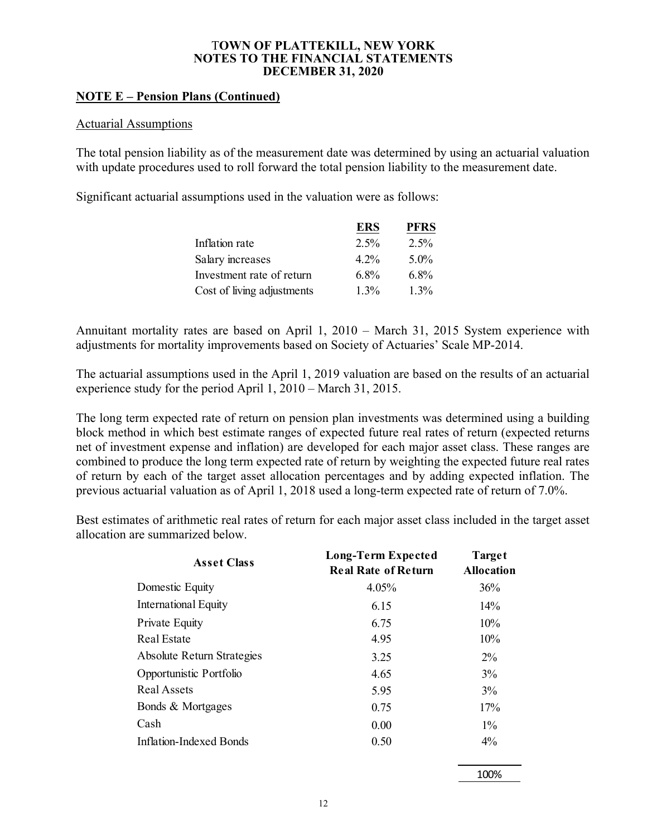# **NOTE E – Pension Plans (Continued)**

### Actuarial Assumptions

The total pension liability as of the measurement date was determined by using an actuarial valuation with update procedures used to roll forward the total pension liability to the measurement date.

Significant actuarial assumptions used in the valuation were as follows:

|                            | <b>ERS</b> | <b>PFRS</b> |
|----------------------------|------------|-------------|
| Inflation rate             | $2.5\%$    | $2.5\%$     |
| Salary increases           | $4.2\%$    | $5.0\%$     |
| Investment rate of return  | $6.8\%$    | $6.8\%$     |
| Cost of living adjustments | $1.3\%$    | $1.3\%$     |

Annuitant mortality rates are based on April 1, 2010 – March 31, 2015 System experience with adjustments for mortality improvements based on Society of Actuaries' Scale MP-2014.

The actuarial assumptions used in the April 1, 2019 valuation are based on the results of an actuarial experience study for the period April 1, 2010 – March 31, 2015.

The long term expected rate of return on pension plan investments was determined using a building block method in which best estimate ranges of expected future real rates of return (expected returns net of investment expense and inflation) are developed for each major asset class. These ranges are combined to produce the long term expected rate of return by weighting the expected future real rates of return by each of the target asset allocation percentages and by adding expected inflation. The previous actuarial valuation as of April 1, 2018 used a long-term expected rate of return of 7.0%.

Best estimates of arithmetic real rates of return for each major asset class included in the target asset allocation are summarized below.

| <b>Asset Class</b>          | Long-Term Expected<br><b>Real Rate of Return</b> | Target<br><b>Allocation</b> |
|-----------------------------|--------------------------------------------------|-----------------------------|
| Domestic Equity             | 4.05%                                            | 36%                         |
| <b>International Equity</b> | 6.15                                             | 14%                         |
| Private Equity              | 6.75                                             | 10%                         |
| Real Estate                 | 4.95                                             | 10%                         |
| Absolute Return Strategies  | 3.25                                             | $2\%$                       |
| Opportunistic Portfolio     | 4.65                                             | 3%                          |
| Real Assets                 | 5.95                                             | 3%                          |
| Bonds & Mortgages           | 0.75                                             | 17%                         |
| Cash                        | 0.00                                             | $1\%$                       |
| Inflation-Indexed Bonds     | 0.50                                             | $4\%$                       |

100%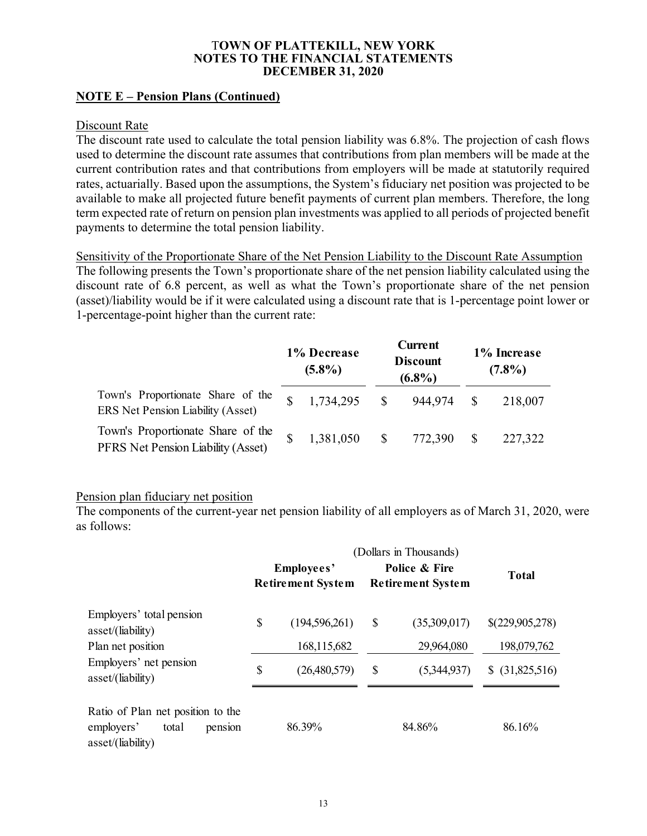# **NOTE E – Pension Plans (Continued)**

### Discount Rate

The discount rate used to calculate the total pension liability was 6.8%. The projection of cash flows used to determine the discount rate assumes that contributions from plan members will be made at the current contribution rates and that contributions from employers will be made at statutorily required rates, actuarially. Based upon the assumptions, the System's fiduciary net position was projected to be available to make all projected future benefit payments of current plan members. Therefore, the long term expected rate of return on pension plan investments was applied to all periods of projected benefit payments to determine the total pension liability.

Sensitivity of the Proportionate Share of the Net Pension Liability to the Discount Rate Assumption The following presents the Town's proportionate share of the net pension liability calculated using the discount rate of 6.8 percent, as well as what the Town's proportionate share of the net pension (asset)/liability would be if it were calculated using a discount rate that is 1-percentage point lower or 1-percentage-point higher than the current rate:

|                                                                         | 1% Decrease<br>$(5.8\%)$ | <b>Current</b><br><b>Discount</b><br>$(6.8\%)$ |         | 1% Increase<br>$(7.8\%)$ |         |
|-------------------------------------------------------------------------|--------------------------|------------------------------------------------|---------|--------------------------|---------|
| Town's Proportionate Share of the<br>ERS Net Pension Liability (Asset)  | 1,734,295                | -S                                             | 944,974 |                          | 218,007 |
| Town's Proportionate Share of the<br>PFRS Net Pension Liability (Asset) | 1,381,050                | $\mathcal{S}$                                  | 772,390 |                          | 227,322 |

### Pension plan fiduciary net position

The components of the current-year net pension liability of all employers as of March 31, 2020, were as follows:

|                                                                                          | Employees'<br><b>Retirement System</b> |                                  | Police & Fire<br><b>Retirement System</b> | <b>Total</b>                   |
|------------------------------------------------------------------------------------------|----------------------------------------|----------------------------------|-------------------------------------------|--------------------------------|
| Employers' total pension<br>asset/(liability)<br>Plan net position                       | \$                                     | (194, 596, 261)<br>168, 115, 682 | \$<br>(35,309,017)<br>29,964,080          | \$(229,905,278)<br>198,079,762 |
| Employers' net pension<br>asset/(liability)                                              | \$                                     | (26,480,579)                     | \$<br>(5,344,937)                         | \$ (31,825,516)                |
| Ratio of Plan net position to the<br>employers'<br>total<br>pension<br>asset/(liability) |                                        | 86.39%                           | 84.86%                                    | 86.16%                         |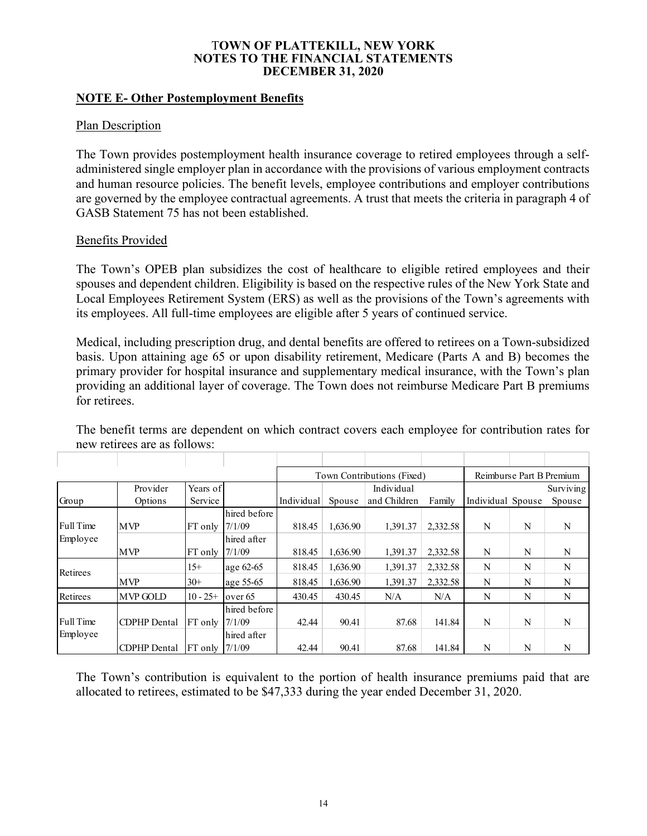## **NOTE E- Other Postemployment Benefits**

## **Plan Description**

The Town provides postemployment health insurance coverage to retired employees through a selfadministered single employer plan in accordance with the provisions of various employment contracts and human resource policies. The benefit levels, employee contributions and employer contributions are governed by the employee contractual agreements. A trust that meets the criteria in paragraph 4 of GASB Statement 75 has not been established.

# Benefits Provided

The Town's OPEB plan subsidizes the cost of healthcare to eligible retired employees and their spouses and dependent children. Eligibility is based on the respective rules of the New York State and Local Employees Retirement System (ERS) as well as the provisions of the Town's agreements with its employees. All full-time employees are eligible after 5 years of continued service.

Medical, including prescription drug, and dental benefits are offered to retirees on a Town-subsidized basis. Upon attaining age 65 or upon disability retirement, Medicare (Parts A and B) becomes the primary provider for hospital insurance and supplementary medical insurance, with the Town's plan providing an additional layer of coverage. The Town does not reimburse Medicare Part B premiums for retirees.

|           |                     |                    |              | Town Contributions (Fixed) |          |              |          |                   |   | Reimburse Part B Premium |
|-----------|---------------------|--------------------|--------------|----------------------------|----------|--------------|----------|-------------------|---|--------------------------|
|           | Provider            | Years of           |              |                            |          | Individual   |          |                   |   | Surviving                |
| Group     | Options             | Service            |              | Individual                 | Spouse   | and Children | Family   | Individual Spouse |   | Spouse                   |
|           |                     |                    | hired before |                            |          |              |          |                   |   |                          |
| Full Time | <b>MVP</b>          | FT only            | 7/1/09       | 818.45                     | 1,636.90 | 1.391.37     | 2,332.58 | N                 | N | N                        |
| Employee  |                     |                    | hired after  |                            |          |              |          |                   |   |                          |
|           | <b>MVP</b>          | FT only            | 7/1/09       | 818.45                     | 1,636.90 | 1,391.37     | 2,332.58 | N                 | N | N                        |
| Retirees  |                     | $15+$              | age 62-65    | 818.45                     | 1,636.90 | 1,391.37     | 2,332.58 | N                 | N | N                        |
|           | <b>MVP</b>          | $30+$              | age 55-65    | 818.45                     | 1,636.90 | 1,391.37     | 2,332.58 | N                 | N | N                        |
| Retirees  | <b>MVP GOLD</b>     | $10 - 25+$         | over $65$    | 430.45                     | 430.45   | N/A          | N/A      | N                 | N | N                        |
|           |                     |                    | hired before |                            |          |              |          |                   |   |                          |
| Full Time | <b>CDPHP</b> Dental | FT only            | 7/1/09       | 42.44                      | 90.41    | 87.68        | 141.84   | N                 | N | N                        |
| Employee  |                     |                    | hired after  |                            |          |              |          |                   |   |                          |
|           | CDPHP Dental        | $FT$ only $1/1/09$ |              | 42.44                      | 90.41    | 87.68        | 141.84   | N                 | N | N                        |

The benefit terms are dependent on which contract covers each employee for contribution rates for new retirees are as follows:

The Town's contribution is equivalent to the portion of health insurance premiums paid that are allocated to retirees, estimated to be \$47,333 during the year ended December 31, 2020.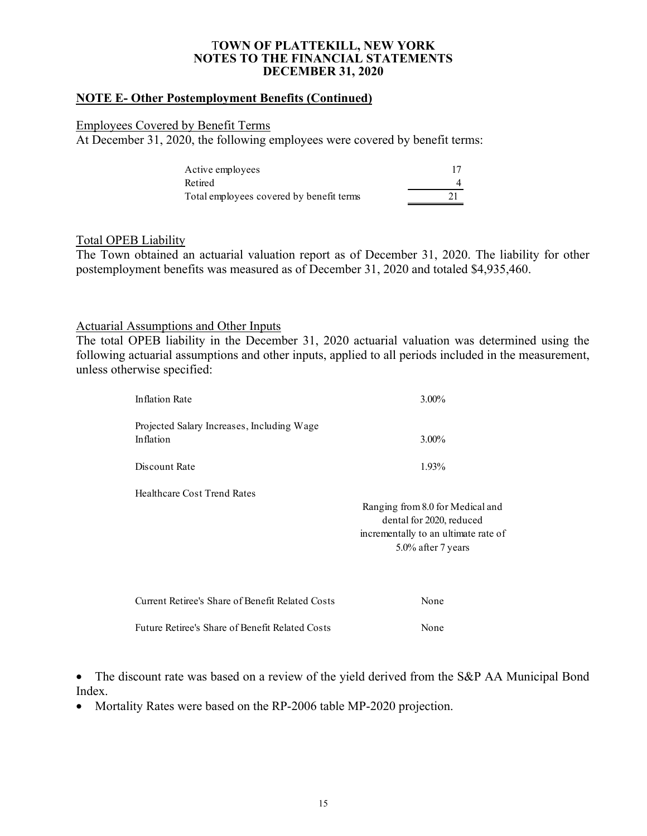### **NOTE E- Other Postemployment Benefits (Continued)**

#### Employees Covered by Benefit Terms

At December 31, 2020, the following employees were covered by benefit terms:

| Active employees                         |  |
|------------------------------------------|--|
| Retired                                  |  |
| Total employees covered by benefit terms |  |

### Total OPEB Liability

The Town obtained an actuarial valuation report as of December 31, 2020. The liability for other postemployment benefits was measured as of December 31, 2020 and totaled \$4,935,460.

# Actuarial Assumptions and Other Inputs

The total OPEB liability in the December 31, 2020 actuarial valuation was determined using the following actuarial assumptions and other inputs, applied to all periods included in the measurement, unless otherwise specified:

| <b>Inflation Rate</b>                                   | $3.00\%$                                                                                                                   |
|---------------------------------------------------------|----------------------------------------------------------------------------------------------------------------------------|
| Projected Salary Increases, Including Wage<br>Inflation | $3.00\%$                                                                                                                   |
| Discount Rate                                           | 1.93%                                                                                                                      |
| Healthcare Cost Trend Rates                             | Ranging from 8.0 for Medical and<br>dental for 2020, reduced<br>incrementally to an ultimate rate of<br>5.0% after 7 years |
| Current Retiree's Share of Benefit Related Costs        | None                                                                                                                       |
| Future Retiree's Share of Benefit Related Costs         | None                                                                                                                       |

• The discount rate was based on a review of the yield derived from the S&P AA Municipal Bond Index.

• Mortality Rates were based on the RP-2006 table MP-2020 projection.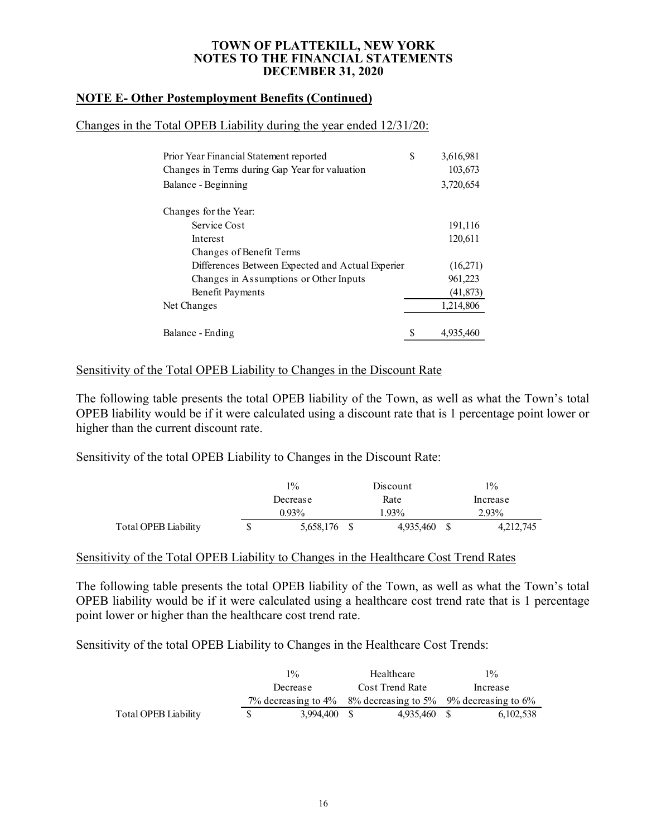### **NOTE E- Other Postemployment Benefits (Continued)**

#### Changes in the Total OPEB Liability during the year ended 12/31/20:

| Prior Year Financial Statement reported          | \$ | 3,616,981 |
|--------------------------------------------------|----|-----------|
| Changes in Terms during Gap Year for valuation   |    | 103,673   |
| Balance - Beginning                              |    | 3,720,654 |
| Changes for the Year:                            |    |           |
| Service Cost                                     |    | 191,116   |
| Interest                                         |    | 120,611   |
| Changes of Benefit Terms                         |    |           |
| Differences Between Expected and Actual Experier |    | (16,271)  |
| Changes in Assumptions or Other Inputs           |    | 961,223   |
| Benefit Payments                                 |    | (41, 873) |
| Net Changes                                      |    | 1,214,806 |
| Balance - Ending                                 | S  | 4.935.460 |

### Sensitivity of the Total OPEB Liability to Changes in the Discount Rate

The following table presents the total OPEB liability of the Town, as well as what the Town's total OPEB liability would be if it were calculated using a discount rate that is 1 percentage point lower or higher than the current discount rate.

Sensitivity of the total OPEB Liability to Changes in the Discount Rate:

|                      | $1\%$<br>Discount |           | $1\%$     |
|----------------------|-------------------|-----------|-----------|
|                      | Decrease          | Rate      | Increase  |
|                      | $0.93\%$          | 1.93%     | 2.93%     |
| Total OPEB Liability | 5,658,176         | 4,935,460 | 4,212,745 |

#### Sensitivity of the Total OPEB Liability to Changes in the Healthcare Cost Trend Rates

The following table presents the total OPEB liability of the Town, as well as what the Town's total OPEB liability would be if it were calculated using a healthcare cost trend rate that is 1 percentage point lower or higher than the healthcare cost trend rate.

Sensitivity of the total OPEB Liability to Changes in the Healthcare Cost Trends:

|                      |          | $1\%$        |  | Healthcare      |  | $1\%$                                                          |
|----------------------|----------|--------------|--|-----------------|--|----------------------------------------------------------------|
|                      | Decrease |              |  | Cost Trend Rate |  | Increase                                                       |
|                      |          |              |  |                 |  | 7% decreasing to 4% $8\%$ decreasing to 5% 9% decreasing to 6% |
| Total OPEB Liability | SS.      | 3.994,400 \$ |  | 4.935.460 \$    |  | 6,102,538                                                      |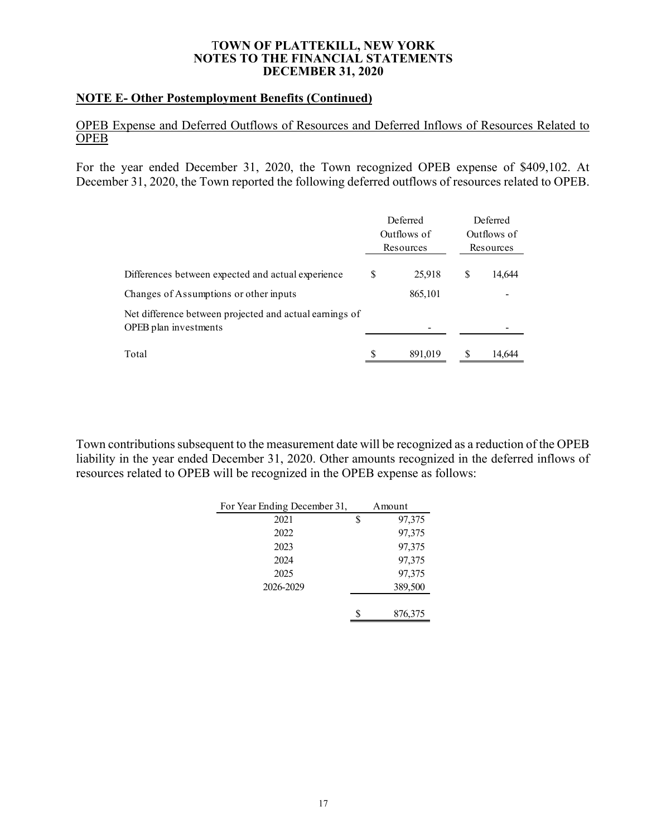### **NOTE E- Other Postemployment Benefits (Continued)**

## OPEB Expense and Deferred Outflows of Resources and Deferred Inflows of Resources Related to **OPEB**

For the year ended December 31, 2020, the Town recognized OPEB expense of \$409,102. At December 31, 2020, the Town reported the following deferred outflows of resources related to OPEB.

|                                                                                  |    | Deferred<br>Outflows of<br>Resources | Deferred<br>Outflows of<br>Resources |  |
|----------------------------------------------------------------------------------|----|--------------------------------------|--------------------------------------|--|
| Differences between expected and actual experience                               | \$ | 25,918                               | \$<br>14,644                         |  |
| Changes of Assumptions or other inputs                                           |    | 865,101                              |                                      |  |
| Net difference between projected and actual earnings of<br>OPEB plan investments |    |                                      |                                      |  |
| Total                                                                            | S  | 891,019                              | 14.644                               |  |

Town contributions subsequent to the measurement date will be recognized as a reduction of the OPEB liability in the year ended December 31, 2020. Other amounts recognized in the deferred inflows of resources related to OPEB will be recognized in the OPEB expense as follows:

| For Year Ending December 31, | Amount  |
|------------------------------|---------|
| 2021                         | 97,375  |
| 2022                         | 97,375  |
| 2023                         | 97,375  |
| 2024                         | 97,375  |
| 2025                         | 97,375  |
| 2026-2029                    | 389,500 |
|                              |         |
|                              | 876,375 |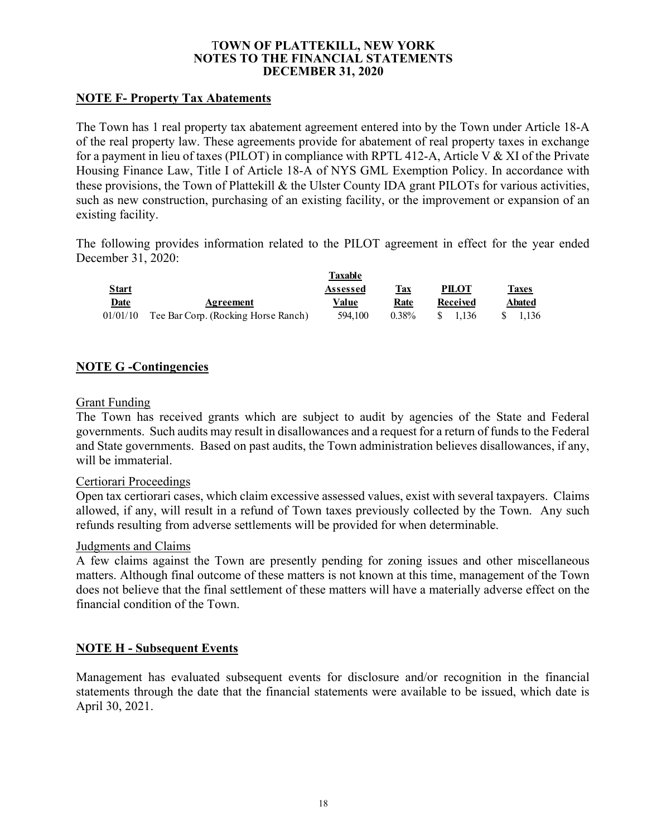## **NOTE F- Property Tax Abatements**

The Town has 1 real property tax abatement agreement entered into by the Town under Article 18-A of the real property law. These agreements provide for abatement of real property taxes in exchange for a payment in lieu of taxes (PILOT) in compliance with RPTL 412-A, Article V & XI of the Private Housing Finance Law, Title I of Article 18-A of NYS GML Exemption Policy. In accordance with these provisions, the Town of Plattekill & the Ulster County IDA grant PILOTs for various activities, such as new construction, purchasing of an existing facility, or the improvement or expansion of an existing facility.

The following provides information related to the PILOT agreement in effect for the year ended December 31, 2020:

|              |                                              | Taxable  |          |               |        |
|--------------|----------------------------------------------|----------|----------|---------------|--------|
| <u>Start</u> |                                              | Assessed | Tax      | <b>PILOT</b>  | Taxes  |
| <b>Date</b>  | Agreement                                    | Value    | Rate     | Received      | Abated |
|              | 01/01/10 Tee Bar Corp. (Rocking Horse Ranch) | 594,100  | $0.38\%$ | 1.136<br>-S – | 1.136  |

# **NOTE G -Contingencies**

### Grant Funding

The Town has received grants which are subject to audit by agencies of the State and Federal governments. Such audits may result in disallowances and a request for a return of funds to the Federal and State governments. Based on past audits, the Town administration believes disallowances, if any, will be immaterial.

### Certiorari Proceedings

Open tax certiorari cases, which claim excessive assessed values, exist with several taxpayers. Claims allowed, if any, will result in a refund of Town taxes previously collected by the Town. Any such refunds resulting from adverse settlements will be provided for when determinable.

#### Judgments and Claims

A few claims against the Town are presently pending for zoning issues and other miscellaneous matters. Although final outcome of these matters is not known at this time, management of the Town does not believe that the final settlement of these matters will have a materially adverse effect on the financial condition of the Town.

### **NOTE H - Subsequent Events**

Management has evaluated subsequent events for disclosure and/or recognition in the financial statements through the date that the financial statements were available to be issued, which date is April 30, 2021.